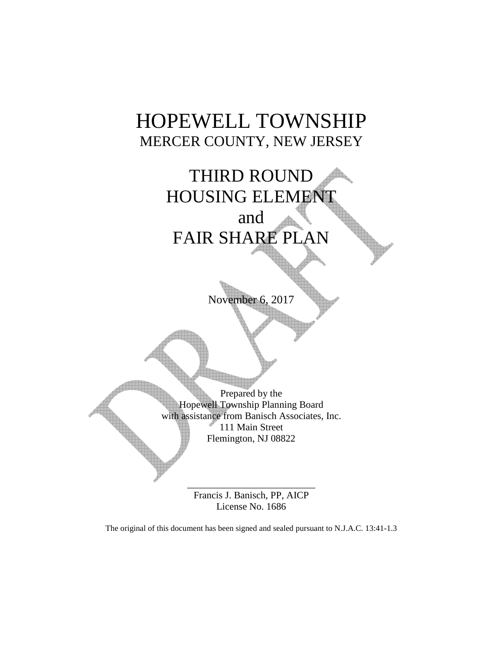# HOPEWELL TOWNSHIP MERCER COUNTY, NEW JERSEY



November 6, 2017

Prepared by the Hopewell Township Planning Board with assistance from Banisch Associates, Inc. 111 Main Street Flemington, NJ 08822

> \_\_\_\_\_\_\_\_\_\_\_\_\_\_\_\_\_\_\_\_\_\_\_\_\_\_ Francis J. Banisch, PP, AICP License No. 1686

The original of this document has been signed and sealed pursuant to N.J.A.C. 13:41-1.3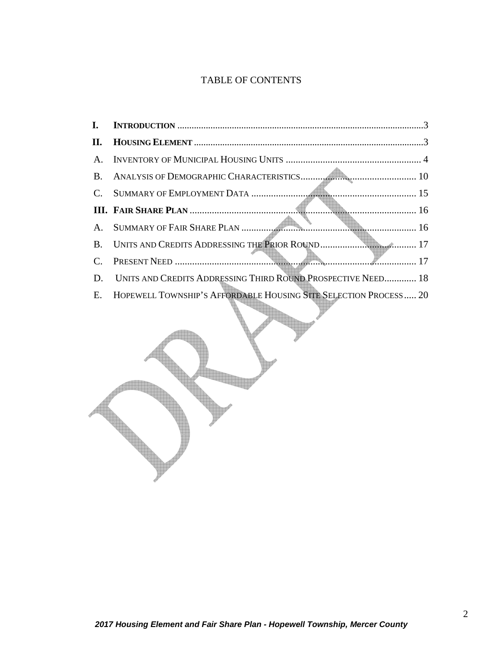# TABLE OF CONTENTS

| I.              |                                                                  |
|-----------------|------------------------------------------------------------------|
| П.              |                                                                  |
| $\mathbf{A}$    |                                                                  |
| B.              |                                                                  |
| $\mathcal{C}$ . |                                                                  |
|                 | 16                                                               |
| A.              |                                                                  |
| B.              |                                                                  |
| C.              |                                                                  |
| D.              | UNITS AND CREDITS ADDRESSING THIRD ROUND PROSPECTIVE NEED 18     |
| E.              | HOPEWELL TOWNSHIP'S AFFORDABLE HOUSING SITE SELECTION PROCESS 20 |

 $\sum$ 

Æ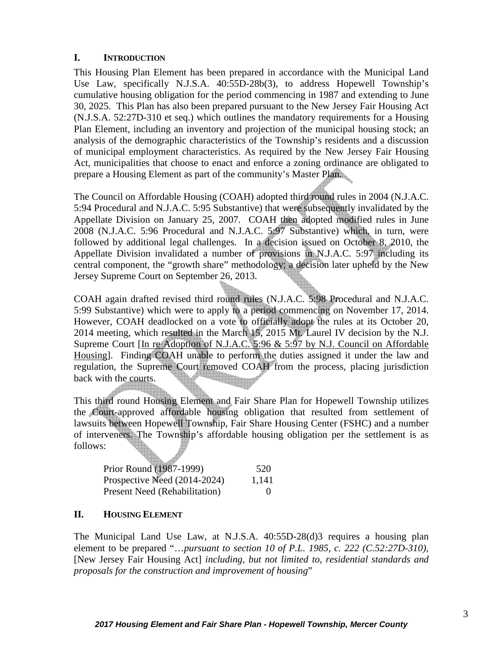## **I. INTRODUCTION**

This Housing Plan Element has been prepared in accordance with the Municipal Land Use Law, specifically N.J.S.A. 40:55D-28b(3), to address Hopewell Township's cumulative housing obligation for the period commencing in 1987 and extending to June 30, 2025. This Plan has also been prepared pursuant to the New Jersey Fair Housing Act (N.J.S.A. 52:27D-310 et seq.) which outlines the mandatory requirements for a Housing Plan Element, including an inventory and projection of the municipal housing stock; an analysis of the demographic characteristics of the Township's residents and a discussion of municipal employment characteristics. As required by the New Jersey Fair Housing Act, municipalities that choose to enact and enforce a zoning ordinance are obligated to prepare a Housing Element as part of the community's Master Plan.

The Council on Affordable Housing (COAH) adopted third round rules in 2004 (N.J.A.C. 5:94 Procedural and N.J.A.C. 5:95 Substantive) that were subsequently invalidated by the Appellate Division on January 25, 2007. COAH then adopted modified rules in June 2008 (N.J.A.C. 5:96 Procedural and N.J.A.C. 5:97 Substantive) which, in turn, were followed by additional legal challenges. In a decision issued on October 8, 2010, the Appellate Division invalidated a number of provisions in N.J.A.C. 5:97 including its central component, the "growth share" methodology; a decision later upheld by the New Jersey Supreme Court on September 26, 2013.

COAH again drafted revised third round rules (N.J.A.C. 5:98 Procedural and N.J.A.C. 5:99 Substantive) which were to apply to a period commencing on November 17, 2014. However, COAH deadlocked on a vote to officially adopt the rules at its October 20, 2014 meeting, which resulted in the March 15, 2015 Mt. Laurel IV decision by the N.J. Supreme Court [In re Adoption of N.J.A.C. 5:96 & 5:97 by N.J. Council on Affordable Housing]. Finding COAH unable to perform the duties assigned it under the law and regulation, the Supreme Court removed COAH from the process, placing jurisdiction back with the courts. 

This third round Housing Element and Fair Share Plan for Hopewell Township utilizes the Court-approved affordable housing obligation that resulted from settlement of lawsuits between Hopewell Township, Fair Share Housing Center (FSHC) and a number of interveners. The Township's affordable housing obligation per the settlement is as follows:

| Prior Round (1987-1999)              | 520      |
|--------------------------------------|----------|
| Prospective Need (2014-2024)         | 1,141    |
| <b>Present Need (Rehabilitation)</b> | $\theta$ |

## **II. HOUSING ELEMENT**

The Municipal Land Use Law, at N.J.S.A. 40:55D-28(d)3 requires a housing plan element to be prepared "…*pursuant to section 10 of P.L. 1985, c. 222 (C.52:27D-310),*  [New Jersey Fair Housing Act] *including, but not limited to, residential standards and proposals for the construction and improvement of housing*"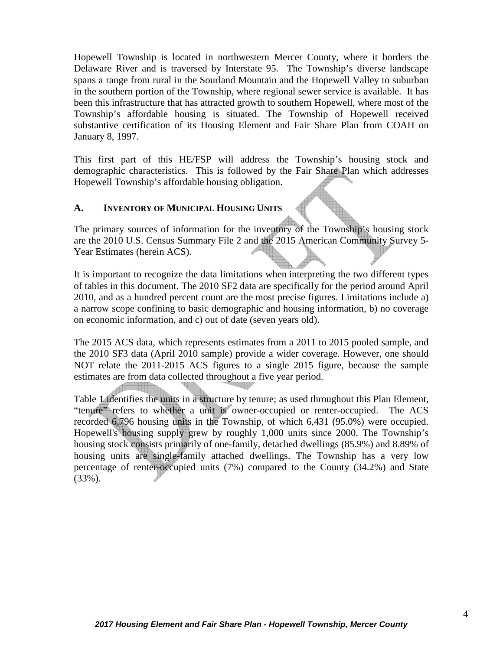Hopewell Township is located in northwestern Mercer County, where it borders the Delaware River and is traversed by Interstate 95. The Township's diverse landscape spans a range from rural in the Sourland Mountain and the Hopewell Valley to suburban in the southern portion of the Township, where regional sewer service is available. It has been this infrastructure that has attracted growth to southern Hopewell, where most of the Township's affordable housing is situated. The Township of Hopewell received substantive certification of its Housing Element and Fair Share Plan from COAH on January 8, 1997.

This first part of this HE/FSP will address the Township's housing stock and demographic characteristics. This is followed by the Fair Share Plan which addresses Hopewell Township's affordable housing obligation.

## **A. INVENTORY OF MUNICIPAL HOUSING UNITS**

The primary sources of information for the inventory of the Township's housing stock are the 2010 U.S. Census Summary File 2 and the 2015 American Community Survey 5- Year Estimates (herein ACS).

It is important to recognize the data limitations when interpreting the two different types of tables in this document. The 2010 SF2 data are specifically for the period around April 2010, and as a hundred percent count are the most precise figures. Limitations include a) a narrow scope confining to basic demographic and housing information, b) no coverage on economic information, and c) out of date (seven years old).

The 2015 ACS data, which represents estimates from a 2011 to 2015 pooled sample, and the 2010 SF3 data (April 2010 sample) provide a wider coverage. However, one should NOT relate the 2011-2015 ACS figures to a single 2015 figure, because the sample estimates are from data collected throughout a five year period.

Table 1 identifies the units in a structure by tenure; as used throughout this Plan Element, "tenure" refers to whether a unit is owner-occupied or renter-occupied. The ACS recorded 6,796 housing units in the Township, of which 6,431 (95.0%) were occupied. Hopewell's housing supply grew by roughly 1,000 units since 2000. The Township's housing stock consists primarily of one-family, detached dwellings (85.9%) and 8.89% of housing units are single-family attached dwellings. The Township has a very low percentage of renter-occupied units (7%) compared to the County (34.2%) and State (33%).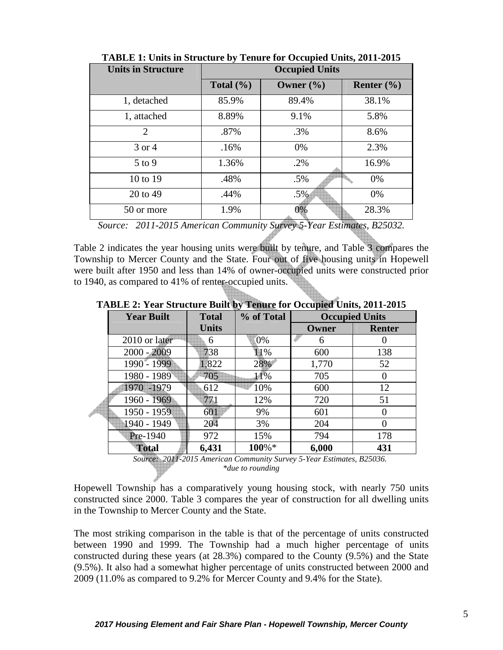| <b>Units in Structure</b> | $\overline{\phantom{a}}$<br><b>Occupied Units</b> |               |                |  |
|---------------------------|---------------------------------------------------|---------------|----------------|--|
|                           |                                                   |               |                |  |
|                           | Total $(\% )$                                     | Owner $(\% )$ | Renter $(\% )$ |  |
| 1, detached               | 85.9%                                             | 89.4%         | 38.1%          |  |
| 1, attached               | 8.89%                                             | 9.1%          | 5.8%           |  |
| $\overline{2}$            | .87%                                              | .3%           | 8.6%           |  |
| 3 or 4                    | .16%                                              | $0\%$         | 2.3%           |  |
| $5$ to 9                  | 1.36%                                             | .2%           | 16.9%          |  |
| 10 to 19                  | .48%                                              | $.5\%$        | $0\%$          |  |
| 20 to 49                  | .44%                                              | $.5\%$        | $0\%$          |  |
| 50 or more                | 1.9%                                              | 0%            | 28.3%          |  |

**TABLE 1: Units in Structure by Tenure for Occupied Units, 2011-2015** 

*Source: 2011-2015 American Community Survey 5-Year Estimates, B25032.* 

Table 2 indicates the year housing units were built by tenure, and Table 3 compares the Township to Mercer County and the State. Four out of five housing units in Hopewell were built after 1950 and less than 14% of owner-occupied units were constructed prior to 1940, as compared to 41% of renter-occupied units.

**TABLE 2: Year Structure Built by Tenure for Occupied Units, 2011-2015**

| <b>Year Built</b> | <b>Total</b> | % of Total | <b>Occupied Units</b> |               |
|-------------------|--------------|------------|-----------------------|---------------|
|                   | <b>Units</b> |            | Owner                 | <b>Renter</b> |
| 2010 or later     | 6            | 0%         | 6                     |               |
| $2000 - 2009$     | 738          | 11%        | 600                   | 138           |
| 1990 - 1999       | 1,822        | 28%        | 1,770                 | 52            |
| 1980 - 1989       | 705          | 11%        | 705                   | 0             |
| $-1979$<br>1970   | 612          | 10%        | 600                   | 12            |
| 1960 - 1969       | 771          | 12%        | 720                   | 51            |
| 1950 - 1959       | 601          | 9%         | 601                   | 0             |
| 1940 - 1949       | 204          | 3%         | 204                   | 0             |
| Pre-1940          | 972          | 15%        | 794                   | 178           |
| <b>Total</b>      | 6,431        | 100%*      | 6,000                 | 431           |

 *Source: 2011-2015 American Community Survey 5-Year Estimates, B25036. \*due to rounding* 

Hopewell Township has a comparatively young housing stock, with nearly 750 units constructed since 2000. Table 3 compares the year of construction for all dwelling units in the Township to Mercer County and the State.

The most striking comparison in the table is that of the percentage of units constructed between 1990 and 1999. The Township had a much higher percentage of units constructed during these years (at 28.3%) compared to the County (9.5%) and the State (9.5%). It also had a somewhat higher percentage of units constructed between 2000 and 2009 (11.0% as compared to 9.2% for Mercer County and 9.4% for the State).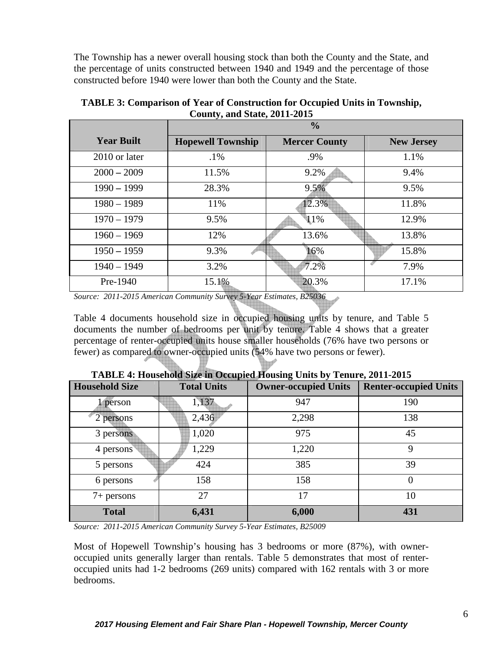The Township has a newer overall housing stock than both the County and the State, and the percentage of units constructed between 1940 and 1949 and the percentage of those constructed before 1940 were lower than both the County and the State.

|                   | $\frac{0}{0}$            |                      |                   |  |
|-------------------|--------------------------|----------------------|-------------------|--|
| <b>Year Built</b> | <b>Hopewell Township</b> | <b>Mercer County</b> | <b>New Jersey</b> |  |
| 2010 or later     | $.1\%$                   | .9%                  | 1.1%              |  |
| $2000 - 2009$     | 11.5%                    | 9.2%                 | 9.4%              |  |
| $1990 - 1999$     | 28.3%                    | 9.5%                 | 9.5%              |  |
| $1980 - 1989$     | 11%                      | 12.3%                | 11.8%             |  |
| $1970 - 1979$     | 9.5%                     | 11%                  | 12.9%             |  |
| $1960 - 1969$     | 12%                      | 13.6%                | 13.8%             |  |
| $1950 - 1959$     | 9.3%                     | 16%                  | 15.8%             |  |
| $1940 - 1949$     | 3.2%                     | $7.2\%$              | 7.9%              |  |
| Pre-1940          | 15.1%                    | 20.3%                | 17.1%             |  |

**TABLE 3: Comparison of Year of Construction for Occupied Units in Township, County, and State, 2011-2015** 

*Source: 2011-2015 American Community Survey 5-Year Estimates, B25036* 

Table 4 documents household size in occupied housing units by tenure, and Table 5 documents the number of bedrooms per unit by tenure. Table 4 shows that a greater percentage of renter-occupied units house smaller households (76% have two persons or fewer) as compared to owner-occupied units (54% have two persons or fewer).

| <b>Household Size</b> | <b>Total Units</b> | <b>Owner-occupied Units</b> | <b>Renter-occupied Units</b> |
|-----------------------|--------------------|-----------------------------|------------------------------|
| l person              | 1,137              | 947                         | 190                          |
| 2 persons             | 2,436              | 2,298                       | 138                          |
| 3 persons             | 1,020              | 975                         | 45                           |
| 4 persons             | 1,229              | 1,220                       | 9                            |
| 5 persons             | 424                | 385                         | 39                           |
| 6 persons             | 158                | 158                         | 0                            |
| $7+$ persons          | 27                 | 17                          | 10                           |
| <b>Total</b>          | 6,431              | 6,000                       | 431                          |

| TABLE 4: Household Size in Occupied Housing Units by Tenure, 2011-2015 |  |  |
|------------------------------------------------------------------------|--|--|
|                                                                        |  |  |

bu/

*Source: 2011-2015 American Community Survey 5-Year Estimates, B25009* 

Most of Hopewell Township's housing has 3 bedrooms or more (87%), with owneroccupied units generally larger than rentals. Table 5 demonstrates that most of renteroccupied units had 1-2 bedrooms (269 units) compared with 162 rentals with 3 or more bedrooms.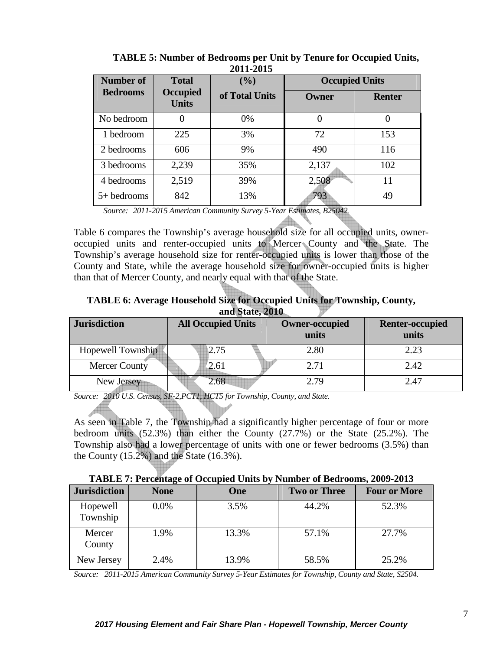| Number of       | <b>Total</b>                    | (%)            | <b>Occupied Units</b> |               |
|-----------------|---------------------------------|----------------|-----------------------|---------------|
| <b>Bedrooms</b> | <b>Occupied</b><br><b>Units</b> | of Total Units | <b>Owner</b>          | <b>Renter</b> |
| No bedroom      | $\theta$                        | 0%             | 0                     |               |
| 1 bedroom       | 225                             | 3%             | 72                    | 153           |
| 2 bedrooms      | 606                             | 9%             | 490                   | 116           |
| 3 bedrooms      | 2,239                           | 35%            | 2,137                 | 102           |
| 4 bedrooms      | 2,519                           | 39%            | 2,508                 | 11            |
| $5+$ bedrooms   | 842                             | 13%            | 793                   | 49            |

 **TABLE 5: Number of Bedrooms per Unit by Tenure for Occupied Units, 2011-2015** 

 *Source: 2011-2015 American Community Survey 5-Year Estimates, B25042.* 

Table 6 compares the Township's average household size for all occupied units, owneroccupied units and renter-occupied units to Mercer County and the State. The Township's average household size for renter-occupied units is lower than those of the County and State, while the average household size for owner-occupied units is higher than that of Mercer County, and nearly equal with that of the State.

| TABLE 6: Average Household Size for Occupied Units for Township, County, |                 |  |
|--------------------------------------------------------------------------|-----------------|--|
|                                                                          | and State, 2010 |  |

h.

| <b>Jurisdiction</b>  | <b>All Occupied Units</b> | <b>Owner-occupied</b><br>units | <b>Renter-occupied</b><br>units |
|----------------------|---------------------------|--------------------------------|---------------------------------|
| Hopewell Township    | 2.75                      | 2.80                           | 2.23                            |
| <b>Mercer County</b> | 2.61                      | 2.71                           | 2.42                            |
| New Jersey           | 2.68                      | 2.79                           | 2.47                            |

*Source: 2010 U.S. Census, SF-2,PCT1, HCT5 for Township, County, and State.* 

As seen in Table 7, the Township had a significantly higher percentage of four or more bedroom units (52.3%) than either the County (27.7%) or the State (25.2%). The Township also had a lower percentage of units with one or fewer bedrooms (3.5%) than the County  $(15.2\%)$  and the State  $(16.3\%)$ .

| TABLE 7: Percentage of Occupied Units by Number of Bedrooms, 2009-2013 |  |
|------------------------------------------------------------------------|--|
|------------------------------------------------------------------------|--|

| <b>Jurisdiction</b>  | <b>None</b> | One   | <b>Two or Three</b> | <b>Four or More</b> |
|----------------------|-------------|-------|---------------------|---------------------|
| Hopewell<br>Township | 0.0%        | 3.5%  | 44.2%               | 52.3%               |
| Mercer<br>County     | 1.9%        | 13.3% | 57.1%               | 27.7%               |
| New Jersey           | 2.4%        | 13.9% | 58.5%               | 25.2%               |

*Source: 2011-2015 American Community Survey 5-Year Estimates for Township, County and State, S2504.*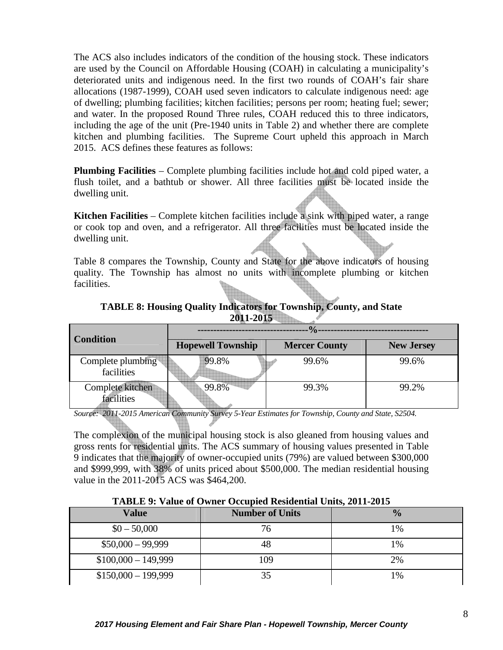The ACS also includes indicators of the condition of the housing stock. These indicators are used by the Council on Affordable Housing (COAH) in calculating a municipality's deteriorated units and indigenous need. In the first two rounds of COAH's fair share allocations (1987-1999), COAH used seven indicators to calculate indigenous need: age of dwelling; plumbing facilities; kitchen facilities; persons per room; heating fuel; sewer; and water. In the proposed Round Three rules, COAH reduced this to three indicators, including the age of the unit (Pre-1940 units in Table 2) and whether there are complete kitchen and plumbing facilities. The Supreme Court upheld this approach in March 2015. ACS defines these features as follows:

**Plumbing Facilities** – Complete plumbing facilities include hot and cold piped water, a flush toilet, and a bathtub or shower. All three facilities must be located inside the dwelling unit.

**Kitchen Facilities** – Complete kitchen facilities include a sink with piped water, a range or cook top and oven, and a refrigerator. All three facilities must be located inside the dwelling unit.

Table 8 compares the Township, County and State for the above indicators of housing quality. The Township has almost no units with incomplete plumbing or kitchen facilities.

| <b>Condition</b>                | $\frac{0}{\alpha}$                               |       |                   |  |  |  |
|---------------------------------|--------------------------------------------------|-------|-------------------|--|--|--|
|                                 | <b>Hopewell Township</b><br><b>Mercer County</b> |       | <b>New Jersey</b> |  |  |  |
| Complete plumbing<br>facilities | 99.8%                                            | 99.6% | 99.6%             |  |  |  |
| Complete kitchen<br>facilities  | 99.8%                                            | 99.3% | 99.2%             |  |  |  |
|                                 |                                                  |       |                   |  |  |  |

**TABLE 8: Housing Quality Indicators for Township, County, and State 2011-2015** 

*Source: 2011-2015 American Community Survey 5-Year Estimates for Township, County and State, S2504.* 

The complexion of the municipal housing stock is also gleaned from housing values and gross rents for residential units. The ACS summary of housing values presented in Table 9 indicates that the majority of owner-occupied units (79%) are valued between \$300,000 and \$999,999, with 38% of units priced about \$500,000. The median residential housing value in the 2011-2015 ACS was \$464,200.

|  |  |  |  |  | TABLE 9: Value of Owner Occupied Residential Units, 2011-2015 |
|--|--|--|--|--|---------------------------------------------------------------|
|--|--|--|--|--|---------------------------------------------------------------|

| Value                | <b>Number of Units</b> | $\frac{0}{0}$ |
|----------------------|------------------------|---------------|
| $$0 - 50,000$        | 76                     | 1%            |
| $$50,000 - 99,999$   |                        | 1%            |
| $$100,000 - 149,999$ | 109                    | 2%            |
| $$150,000 - 199,999$ |                        | 1%            |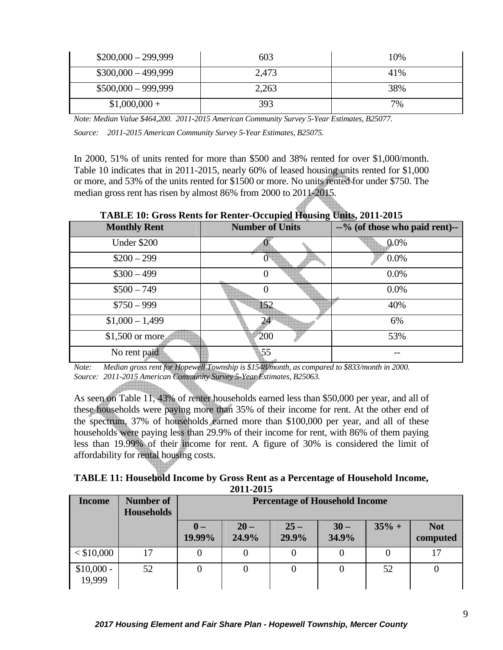| $$200,000 - 299,999$ | 603   | 10% |
|----------------------|-------|-----|
| $$300,000 - 499,999$ | 2,473 | 41% |
| $$500,000 - 999,999$ | 2,263 | 38% |
| $$1,000,000+$        | 393   | 7%  |

*Note: Median Value \$464,200. 2011-2015 American Community Survey 5-Year Estimates, B25077.* 

*Source: 2011-2015 American Community Survey 5-Year Estimates, B25075.* 

In 2000, 51% of units rented for more than \$500 and 38% rented for over \$1,000/month. Table 10 indicates that in 2011-2015, nearly 60% of leased housing units rented for \$1,000 or more, and 53% of the units rented for \$1500 or more. No units rented for under \$750. The median gross rent has risen by almost 86% from 2000 to 2011-2015.

| TADLE TV. GTOSS REIUS TOT REIHEI-OCCUPIEU TIQUSING O <del>MIS</del> , 2011-2013 |                        |                                |  |  |  |  |
|---------------------------------------------------------------------------------|------------------------|--------------------------------|--|--|--|--|
| <b>Monthly Rent</b>                                                             | <b>Number of Units</b> | --% (of those who paid rent)-- |  |  |  |  |
| Under \$200                                                                     |                        | 0.0%                           |  |  |  |  |
| $$200 - 299$                                                                    |                        | 0.0%                           |  |  |  |  |
| $$300 - 499$                                                                    |                        | 0.0%                           |  |  |  |  |
| $$500 - 749$                                                                    |                        | 0.0%                           |  |  |  |  |
| $$750 - 999$                                                                    | 152                    | 40%                            |  |  |  |  |
| $$1,000 - 1,499$                                                                | 24                     | 6%                             |  |  |  |  |
| \$1,500 or more                                                                 | 200                    | 53%                            |  |  |  |  |
| No rent paid                                                                    | 55                     |                                |  |  |  |  |

**TABLE 10: Gross Rents for Renter-Occupied Housing Units, 2011-2015** 

*Note: Median gross rent for Hopewell Township is \$1548/month, as compared to \$833/month in 2000. Source: 2011-2015 American Community Survey 5-Year Estimates, B25063.* 

As seen on Table 11, 43% of renter households earned less than \$50,000 per year, and all of these households were paying more than 35% of their income for rent. At the other end of the spectrum, 37% of households earned more than \$100,000 per year, and all of these households were paying less than 29.9% of their income for rent, with 86% of them paying less than 19.99% of their income for rent. A figure of 30% is considered the limit of affordability for rental housing costs.

**TABLE 11: Household Income by Gross Rent as a Percentage of Household Income, 2011-2015** 

| <b>Income</b>         | Number of<br><b>Households</b> |                          | <b>Percentage of Household Income</b> |                 |                 |         |                        |
|-----------------------|--------------------------------|--------------------------|---------------------------------------|-----------------|-----------------|---------|------------------------|
|                       |                                | $\mathbf{0}$ –<br>19.99% | $20 -$<br>24.9%                       | $25 -$<br>29.9% | $30 -$<br>34.9% | $35% +$ | <b>Not</b><br>computed |
| $<$ \$10,000          |                                |                          |                                       |                 |                 |         |                        |
| $$10,000 -$<br>19,999 | 52                             |                          |                                       |                 |                 | 52      |                        |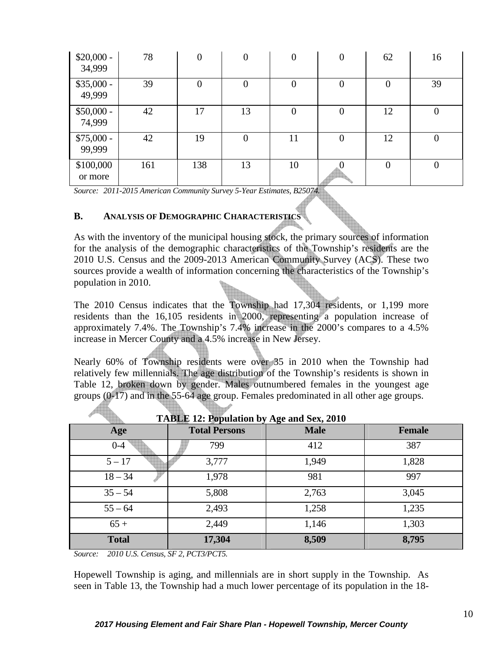| $$20,000 -$<br>34,999 | 78  | $\overline{0}$ | $\overline{0}$ | $\boldsymbol{0}$ | $\overline{0}$ | 62             | 16             |
|-----------------------|-----|----------------|----------------|------------------|----------------|----------------|----------------|
| $$35,000 -$<br>49,999 | 39  | $\theta$       | $\overline{0}$ | $\overline{0}$   | $\overline{0}$ | $\overline{0}$ | 39             |
| $$50,000 -$<br>74,999 | 42  | 17             | 13             | $\overline{0}$   | $\overline{0}$ | 12             | 0              |
| $$75,000 -$<br>99,999 | 42  | 19             | $\overline{0}$ | 11               | $\overline{0}$ | 12             | $\overline{0}$ |
| \$100,000<br>or more  | 161 | 138            | 13             | 10               |                | $\overline{0}$ | 0              |

*Source: 2011-2015 American Community Survey 5-Year Estimates, B25074.* 

#### **B. ANALYSIS OF DEMOGRAPHIC CHARACTERISTICS**

As with the inventory of the municipal housing stock, the primary sources of information for the analysis of the demographic characteristics of the Township's residents are the 2010 U.S. Census and the 2009-2013 American Community Survey (ACS). These two sources provide a wealth of information concerning the characteristics of the Township's population in 2010.

The 2010 Census indicates that the Township had 17,304 residents, or 1,199 more residents than the 16,105 residents in 2000, representing a population increase of approximately 7.4%. The Township's 7.4% increase in the 2000's compares to a 4.5% increase in Mercer County and a 4.5% increase in New Jersey.

Nearly 60% of Township residents were over 35 in 2010 when the Township had relatively few millennials. The age distribution of the Township's residents is shown in Table 12, broken down by gender. Males outnumbered females in the youngest age groups (0-17) and in the 55-64 age group. Females predominated in all other age groups.

| Age          | TADLE 12. Lypulation by Age and Sex, 2010<br><b>Total Persons</b> | <b>Male</b> | <b>Female</b> |
|--------------|-------------------------------------------------------------------|-------------|---------------|
| $0-4$        | 799                                                               | 412         | 387           |
| $5 - 17$     | 3,777                                                             | 1,949       | 1,828         |
| $18 - 34$    | 1,978                                                             | 981         | 997           |
| $35 - 54$    | 5,808                                                             | 2,763       | 3,045         |
| $55 - 64$    | 2,493                                                             | 1,258       | 1,235         |
| $65+$        | 2,449                                                             | 1,146       | 1,303         |
| <b>Total</b> | 17,304                                                            | 8,509       | 8,795         |

**TABLE 12: Population by Age and Sex, 2010** 

*Source: 2010 U.S. Census, SF 2, PCT3/PCT5.* 

Hopewell Township is aging, and millennials are in short supply in the Township. As seen in Table 13, the Township had a much lower percentage of its population in the 18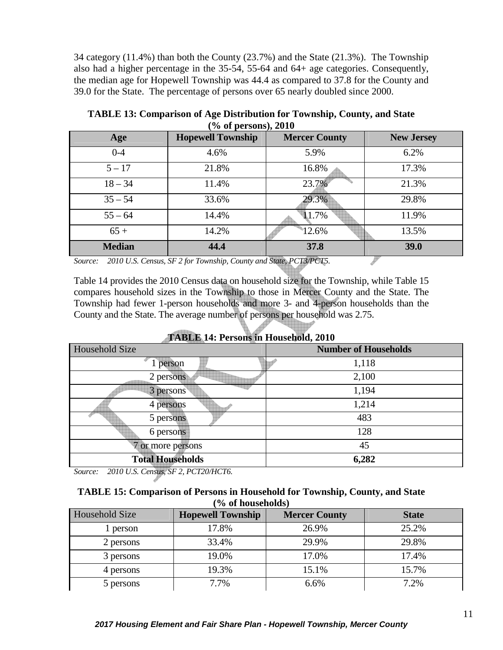34 category (11.4%) than both the County (23.7%) and the State (21.3%). The Township also had a higher percentage in the 35-54, 55-64 and 64+ age categories. Consequently, the median age for Hopewell Township was 44.4 as compared to 37.8 for the County and 39.0 for the State. The percentage of persons over 65 nearly doubled since 2000.

| $\sqrt{0}$ of persons), $\angle 0$ |                                                                   |                      |                   |  |  |  |
|------------------------------------|-------------------------------------------------------------------|----------------------|-------------------|--|--|--|
| Age                                | <b>Hopewell Township</b>                                          | <b>Mercer County</b> | <b>New Jersey</b> |  |  |  |
| $0 - 4$                            | 4.6%                                                              | 5.9%                 | 6.2%              |  |  |  |
| $5 - 17$                           | 21.8%                                                             | 16.8%                | 17.3%             |  |  |  |
| $18 - 34$                          | 11.4%                                                             | 23.7%                | 21.3%             |  |  |  |
| $35 - 54$                          | 33.6%                                                             | 29.3%                | 29.8%             |  |  |  |
| $55 - 64$                          | 14.4%                                                             | 11.7%                | 11.9%             |  |  |  |
| $65+$                              | 14.2%                                                             | 12.6%                | 13.5%             |  |  |  |
| <b>Median</b>                      | 44.4                                                              | 37.8                 | 39.0              |  |  |  |
| Source:                            | 2010 U.S. Census, SF 2 for Township, County and State, PCT3/PCT5. |                      |                   |  |  |  |

**TABLE 13: Comparison of Age Distribution for Township, County, and State (% of persons), 2010** 

*Source: 2010 U.S. Census, SF 2 for Township, County and State, PCT3/PCT5.* 

Table 14 provides the 2010 Census data on household size for the Township, while Table 15 compares household sizes in the Township to those in Mercer County and the State. The Township had fewer 1-person households and more 3- and 4-person households than the County and the State. The average number of persons per household was 2.75.

| $\mathbf{r}$            |                             |  |  |  |
|-------------------------|-----------------------------|--|--|--|
| Household Size          | <b>Number of Households</b> |  |  |  |
| 1 person                | 1,118                       |  |  |  |
| 2 persons               | 2,100                       |  |  |  |
| 3 persons               | 1,194                       |  |  |  |
| 4 persons               | 1,214                       |  |  |  |
| 5 persons               | 483                         |  |  |  |
| 6 persons               | 128                         |  |  |  |
| 7 or more persons       | 45                          |  |  |  |
| <b>Total Households</b> | 6,282                       |  |  |  |

**TABLE 14: Persons in Household, 2010** 

*Source: 2010 U.S. Census, SF 2, PCT20/HCT6.* 

### **TABLE 15: Comparison of Persons in Household for Township, County, and State (% of households)**

| Household Size | <b>Hopewell Township</b> | <b>Mercer County</b> | <b>State</b> |
|----------------|--------------------------|----------------------|--------------|
| l person       | 17.8%                    | 26.9%                | 25.2%        |
| 2 persons      | 33.4%                    | 29.9%                | 29.8%        |
| 3 persons      | 19.0%                    | 17.0%                | 17.4%        |
| 4 persons      | 19.3%                    | 15.1%                | 15.7%        |
| 5 persons      | 7.7%                     | 6.6%                 | 7.2%         |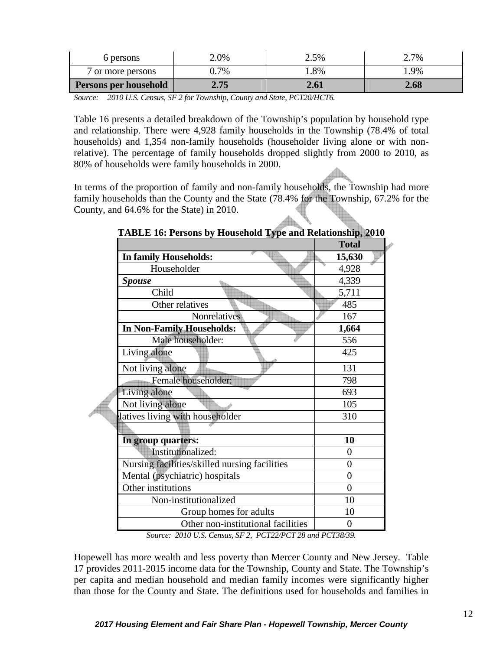| 6 persons             | 2.0% | 2.5% | 2.7% |
|-----------------------|------|------|------|
| 7 or more persons     | 0.7% | .8%  | .9%  |
| Persons per household | 2.75 | 2.61 | 2.68 |

*Source: 2010 U.S. Census, SF 2 for Township, County and State, PCT20/HCT6.*

Table 16 presents a detailed breakdown of the Township's population by household type and relationship. There were 4,928 family households in the Township (78.4% of total households) and 1,354 non-family households (householder living alone or with nonrelative). The percentage of family households dropped slightly from 2000 to 2010, as 80% of households were family households in 2000.

In terms of the proportion of family and non-family households, the Township had more family households than the County and the State (78.4% for the Township, 67.2% for the County, and 64.6% for the State) in 2010.

|                                               | <b>Total</b>   |
|-----------------------------------------------|----------------|
| In family Households:                         | 15,630         |
| Householder                                   | 4,928          |
| <b>Spouse</b>                                 | 4,339          |
| Child                                         | 5,711          |
| Other relatives                               | 485            |
| <b>Nonrelatives</b>                           | 167            |
| <b>In Non-Family Households:</b>              | 1,664          |
| Male householder:                             | 556            |
| Living alone                                  | 425            |
| Not living alone                              | 131            |
| Female householder:                           | 798            |
| Living alone                                  | 693            |
| Not living alone                              | 105            |
| latives living with householder               | 310            |
|                                               |                |
| In group quarters:                            | 10             |
| Institutionalized:                            | $\overline{0}$ |
| Nursing facilities/skilled nursing facilities | $\theta$       |
| Mental (psychiatric) hospitals                | $\theta$       |
| Other institutions                            | $\theta$       |
| Non-institutionalized                         | 10             |
| Group homes for adults                        | 10             |
| Other non-institutional facilities            | 0              |

**TABLE 16: Persons by Household Type and Relationship, 2010** 

*Source: 2010 U.S. Census, SF 2, PCT22/PCT 28 and PCT38/39.* 

Hopewell has more wealth and less poverty than Mercer County and New Jersey. Table 17 provides 2011-2015 income data for the Township, County and State. The Township's per capita and median household and median family incomes were significantly higher than those for the County and State. The definitions used for households and families in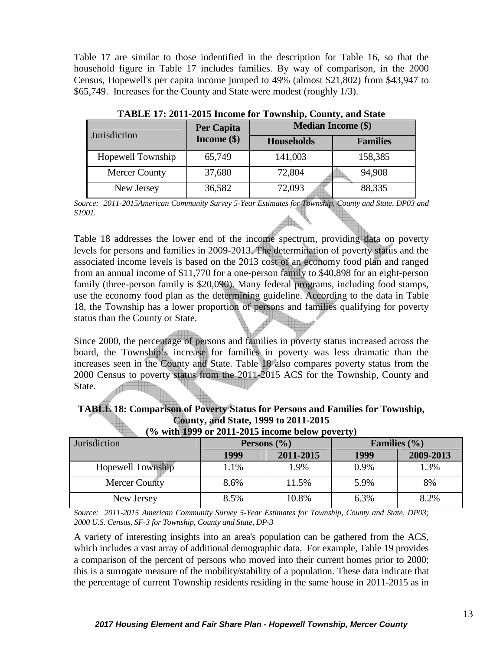Table 17 are similar to those indentified in the description for Table 16, so that the household figure in Table 17 includes families. By way of comparison, in the 2000 Census, Hopewell's per capita income jumped to 49% (almost \$21,802) from \$43,947 to \$65,749. Increases for the County and State were modest (roughly 1/3).

| Jurisdiction         | Per Capita    | <b>Median Income (\$)</b> |                 |
|----------------------|---------------|---------------------------|-----------------|
|                      | Income $(\$)$ | <b>Households</b>         | <b>Families</b> |
| Hopewell Township    | 65,749        | 141,003                   | 158,385         |
| <b>Mercer County</b> | 37,680        | 72,804                    | 94,908          |
| New Jersey           | 36,582        | 72,093                    | 88,335          |

**TABLE 17: 2011-2015 Income for Township, County, and State** 

*Source: 2011-2015American Community Survey 5-Year Estimates for Township, County and State, DP03 and S1901.* 

Table 18 addresses the lower end of the income spectrum, providing data on poverty levels for persons and families in 2009-2013. The determination of poverty status and the associated income levels is based on the 2013 cost of an economy food plan and ranged from an annual income of \$11,770 for a one-person family to \$40,898 for an eight-person family (three-person family is \$20,090). Many federal programs, including food stamps, use the economy food plan as the determining guideline. According to the data in Table 18, the Township has a lower proportion of persons and families qualifying for poverty status than the County or State.

Since 2000, the percentage of persons and families in poverty status increased across the board, the Township's increase for families in poverty was less dramatic than the increases seen in the County and State. Table 18 also compares poverty status from the 2000 Census to poverty status from the 2011-2015 ACS for the Township, County and State.

**TABLE 18: Comparison of Poverty Status for Persons and Families for Township, County, and State, 1999 to 2011-2015 (% with 1999 or 2011-2015 income below poverty)** 

| $\frac{1}{2}$ . The company of $\frac{1}{2}$ and $\frac{1}{2}$ are company to the $\frac{1}{2}$ . The contract of $\frac{1}{2}$ |                 |           |                  |           |  |
|---------------------------------------------------------------------------------------------------------------------------------|-----------------|-----------|------------------|-----------|--|
| <b>Jurisdiction</b>                                                                                                             | Persons $(\% )$ |           | Families $(\% )$ |           |  |
|                                                                                                                                 | 1999            | 2011-2015 | 1999             | 2009-2013 |  |
| <b>Hopewell Township</b>                                                                                                        | 1.1%            | 1.9%      | 0.9%             | 1.3%      |  |
| <b>Mercer County</b>                                                                                                            | 8.6%            | 11.5%     | 5.9%             | 8%        |  |
| New Jersey                                                                                                                      | 8.5%            | 10.8%     | 6.3%             | 8.2%      |  |

*Source: 2011-2015 American Community Survey 5-Year Estimates for Township, County and State, DP03; 2000 U.S. Census, SF-3 for Township, County and State, DP-3* 

A variety of interesting insights into an area's population can be gathered from the ACS, which includes a vast array of additional demographic data. For example, Table 19 provides a comparison of the percent of persons who moved into their current homes prior to 2000; this is a surrogate measure of the mobility/stability of a population. These data indicate that the percentage of current Township residents residing in the same house in 2011-2015 as in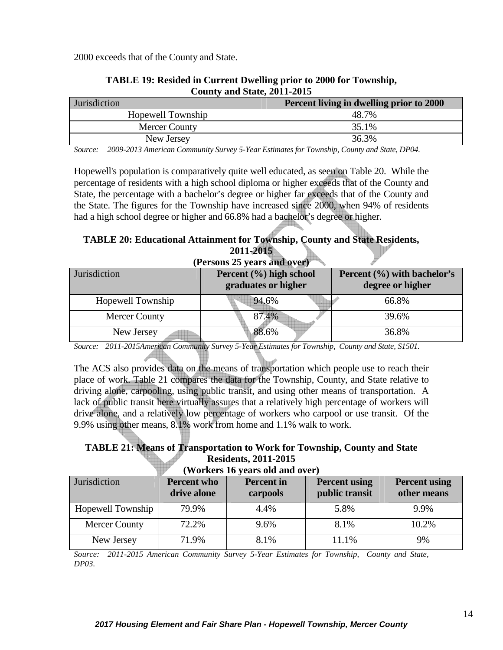2000 exceeds that of the County and State.

| <b>Jurisdiction</b>  | Percent living in dwelling prior to 2000 |  |  |  |
|----------------------|------------------------------------------|--|--|--|
| Hopewell Township    | 48.7%                                    |  |  |  |
| <b>Mercer County</b> | 35.1%                                    |  |  |  |
| New Jersey           | 36.3%                                    |  |  |  |

### **TABLE 19: Resided in Current Dwelling prior to 2000 for Township, County and State, 2011-2015**

*Source: 2009-2013 American Community Survey 5-Year Estimates for Township, County and State, DP04.* 

Hopewell's population is comparatively quite well educated, as seen on Table 20. While the percentage of residents with a high school diploma or higher exceeds that of the County and State, the percentage with a bachelor's degree or higher far exceeds that of the County and the State. The figures for the Township have increased since 2000, when 94% of residents had a high school degree or higher and 66.8% had a bachelor's degree or higher.

#### **TABLE 20: Educational Attainment for Township, County and State Residents, 2011-2015**

| (Persons 25 years and over) |                                                |                                                     |  |  |  |
|-----------------------------|------------------------------------------------|-----------------------------------------------------|--|--|--|
| Jurisdiction                | Percent (%) high school<br>graduates or higher | Percent $(\% )$ with bachelor's<br>degree or higher |  |  |  |
| Hopewell Township           | 94.6%                                          | 66.8%                                               |  |  |  |
| Mercer County               | 87.4%                                          | 39.6%                                               |  |  |  |
| New Jersey                  | 88.6%                                          | 36.8%                                               |  |  |  |

*Source: 2011-2015American Community Survey 5-Year Estimates for Township, County and State, S1501.*

The ACS also provides data on the means of transportation which people use to reach their place of work. Table 21 compares the data for the Township, County, and State relative to driving alone, carpooling, using public transit, and using other means of transportation. A lack of public transit here virtually assures that a relatively high percentage of workers will drive alone, and a relatively low percentage of workers who carpool or use transit. Of the 9.9% using other means, 8.1% work from home and 1.1% walk to work.

# **TABLE 21: Means of Transportation to Work for Township, County and State Residents, 2011-2015**

**(Workers 16 years old and over)** 

| Jurisdiction         | Percent who<br>drive alone | <b>Percent</b> in<br>carpools | <b>Percent using</b><br>public transit | <b>Percent using</b><br>other means |
|----------------------|----------------------------|-------------------------------|----------------------------------------|-------------------------------------|
| Hopewell Township    | 79.9%                      | 4.4%                          | 5.8%                                   | 9.9%                                |
| <b>Mercer County</b> | 72.2%                      | 9.6%                          | 8.1%                                   | 10.2%                               |
| New Jersey           | 71.9%                      | 8.1%                          | 11.1%                                  | 9%                                  |

*Source: 2011-2015 American Community Survey 5-Year Estimates for Township, County and State, DP03.*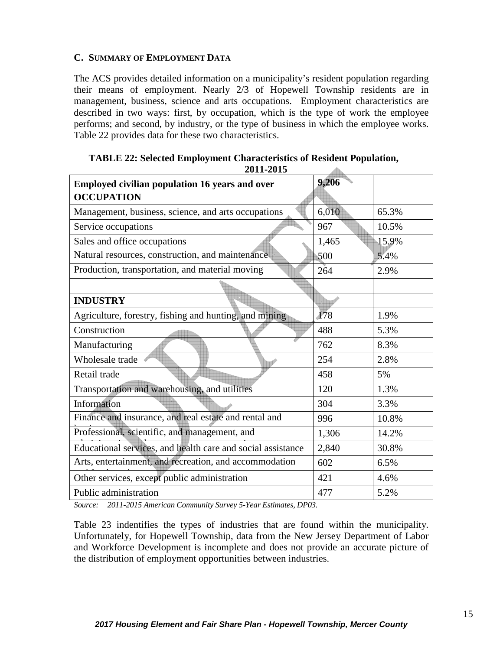#### **C. SUMMARY OF EMPLOYMENT DATA**

The ACS provides detailed information on a municipality's resident population regarding their means of employment. Nearly 2/3 of Hopewell Township residents are in management, business, science and arts occupations. Employment characteristics are described in two ways: first, by occupation, which is the type of work the employee performs; and second, by industry, or the type of business in which the employee works. Table 22 provides data for these two characteristics.

| 2011-2015                                                   |       |       |
|-------------------------------------------------------------|-------|-------|
| <b>Employed civilian population 16 years and over</b>       | 9,206 |       |
| <b>OCCUPATION</b>                                           |       |       |
| Management, business, science, and arts occupations         | 6,010 | 65.3% |
| Service occupations                                         | 967   | 10.5% |
| Sales and office occupations                                | 1,465 | 15.9% |
| Natural resources, construction, and maintenance            | 500   | 5.4%  |
| Production, transportation, and material moving             | 264   | 2.9%  |
|                                                             |       |       |
| <b>INDUSTRY</b>                                             |       |       |
| Agriculture, forestry, fishing and hunting, and mining      | 178   | 1.9%  |
| Construction                                                | 488   | 5.3%  |
| Manufacturing                                               | 762   | 8.3%  |
| Wholesale trade                                             | 254   | 2.8%  |
| Retail trade                                                | 458   | 5%    |
| Transportation and warehousing, and utilities               | 120   | 1.3%  |
| Information                                                 | 304   | 3.3%  |
| Finance and insurance, and real estate and rental and       | 996   | 10.8% |
| Professional, scientific, and management, and               | 1,306 | 14.2% |
| Educational services, and health care and social assistance | 2,840 | 30.8% |
| Arts, entertainment, and recreation, and accommodation      | 602   | 6.5%  |
| Other services, except public administration                | 421   | 4.6%  |
| Public administration                                       | 477   | 5.2%  |

**TABLE 22: Selected Employment Characteristics of Resident Population, 2011-2015** 

*Source: 2011-2015 American Community Survey 5-Year Estimates, DP03.*

Table 23 indentifies the types of industries that are found within the municipality. Unfortunately, for Hopewell Township, data from the New Jersey Department of Labor and Workforce Development is incomplete and does not provide an accurate picture of the distribution of employment opportunities between industries.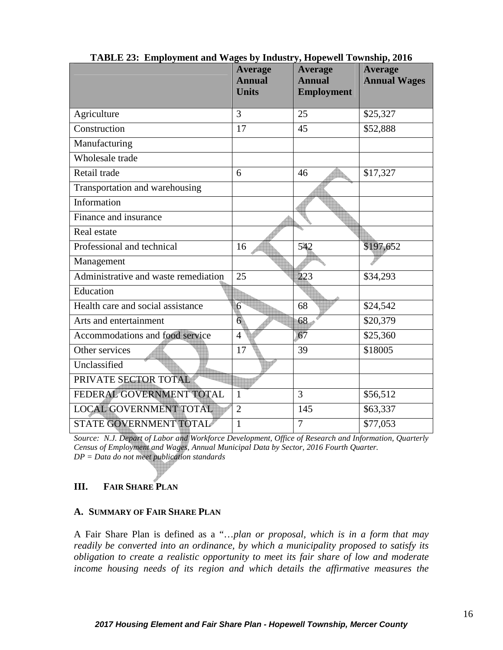|                                      | <b>Average</b><br><b>Annual</b><br><b>Units</b> | <b>Average</b><br><b>Annual</b><br><b>Employment</b> | <b>Average</b><br><b>Annual Wages</b> |
|--------------------------------------|-------------------------------------------------|------------------------------------------------------|---------------------------------------|
| Agriculture                          | 3                                               | 25                                                   | \$25,327                              |
| Construction                         | 17                                              | 45                                                   | \$52,888                              |
| Manufacturing                        |                                                 |                                                      |                                       |
| Wholesale trade                      |                                                 |                                                      |                                       |
| Retail trade                         | 6                                               | 46                                                   | \$17,327                              |
| Transportation and warehousing       |                                                 |                                                      |                                       |
| Information                          |                                                 |                                                      |                                       |
| Finance and insurance                |                                                 |                                                      |                                       |
| Real estate                          |                                                 |                                                      |                                       |
| Professional and technical           | 16                                              | 542                                                  | \$197,652                             |
| Management                           |                                                 |                                                      |                                       |
| Administrative and waste remediation | 25                                              | 223                                                  | \$34,293                              |
| Education                            |                                                 |                                                      |                                       |
| Health care and social assistance    | 6                                               | 68                                                   | \$24,542                              |
| Arts and entertainment               | $6\overline{6}$                                 | 68                                                   | \$20,379                              |
| Accommodations and food service      | $\overline{4}$                                  | 67                                                   | \$25,360                              |
| Other services                       | 17                                              | 39                                                   | \$18005                               |
| Unclassified                         |                                                 |                                                      |                                       |
| PRIVATE SECTOR TOTAL                 |                                                 |                                                      |                                       |
| FEDERAL GOVERNMENT TOTAL             | $\mathbf{1}$                                    | 3                                                    | \$56,512                              |
| LOCAL GOVERNMENT TOTAL               | $\overline{2}$                                  | 145                                                  | \$63,337                              |
| STATE GOVERNMENT TOTAL               | 1                                               | $\tau$                                               | \$77,053                              |

**TABLE 23: Employment and Wages by Industry, Hopewell Township, 2016** 

*Source: N.J. Depart of Labor and Workforce Development, Office of Research and Information, Quarterly Census of Employment and Wages, Annual Municipal Data by Sector, 2016 Fourth Quarter. DP = Data do not meet publication standards* 

# **III. FAIR SHARE PLAN**

## **A. SUMMARY OF FAIR SHARE PLAN**

A Fair Share Plan is defined as a "…*plan or proposal, which is in a form that may readily be converted into an ordinance, by which a municipality proposed to satisfy its obligation to create a realistic opportunity to meet its fair share of low and moderate*  income housing needs of its region and which details the affirmative measures the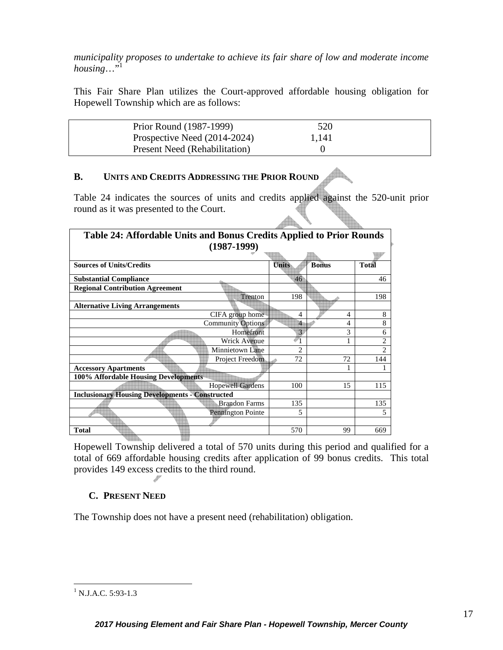*municipality proposes to undertake to achieve its fair share of low and moderate income*   $housine...$ <sup>31</sup>

This Fair Share Plan utilizes the Court-approved affordable housing obligation for Hopewell Township which are as follows:

| Prior Round (1987-1999)              | 520   |  |
|--------------------------------------|-------|--|
| Prospective Need (2014-2024)         | 1,141 |  |
| <b>Present Need (Rehabilitation)</b> |       |  |
|                                      |       |  |

## **B. UNITS AND CREDITS ADDRESSING THE PRIOR ROUND**

Table 24 indicates the sources of units and credits applied against the 520-unit prior round as it was presented to the Court.

 $\triangle$ 

| Table 24: Affordable Units and Bonus Credits Applied to Prior Rounds |                          |                |              |                |
|----------------------------------------------------------------------|--------------------------|----------------|--------------|----------------|
|                                                                      | $(1987-1999)$            |                |              |                |
|                                                                      |                          |                |              |                |
| <b>Sources of Units/Credits</b>                                      |                          | <b>Units</b>   | <b>Bonus</b> | <b>Total</b>   |
| <b>Substantial Compliance</b>                                        |                          | 46             |              | 46             |
| <b>Regional Contribution Agreement</b>                               |                          |                |              |                |
|                                                                      | Trenton                  | 198            |              | 198            |
| <b>Alternative Living Arrangements</b>                               |                          |                |              |                |
|                                                                      | CIFA group home          | 4              | 4            | 8              |
|                                                                      | <b>Community Options</b> | 4              | 4            | 8              |
|                                                                      | Homefront                | 3              | 3            | 6              |
|                                                                      | <b>Wrick Avenue</b>      |                |              | $\overline{2}$ |
|                                                                      | Minnietown Lane          | $\overline{2}$ |              | $\mathfrak{D}$ |
|                                                                      | Project Freedom          | 72             | 72           | 144            |
| <b>Accessory Apartments</b>                                          |                          |                |              |                |
| 100% Affordable Housing Developments                                 |                          |                |              |                |
|                                                                      | <b>Hopewell Gardens</b>  | 100            | 15           | 115            |
| <b>Inclusionary Housing Developments - Constructed</b>               |                          |                |              |                |
|                                                                      | <b>Brandon Farms</b>     | 135            |              | 135            |
|                                                                      | Pennington Pointe        | 5              |              | 5              |
|                                                                      |                          |                |              |                |
| <b>Total</b>                                                         |                          | 570            | 99           | 669            |

Hopewell Township delivered a total of 570 units during this period and qualified for a total of 669 affordable housing credits after application of 99 bonus credits. This total provides 149 excess credits to the third round.

# **C. PRESENT NEED**

The Township does not have a present need (rehabilitation) obligation.

<sup>&</sup>lt;sup>1</sup> N.J.A.C. 5:93-1.3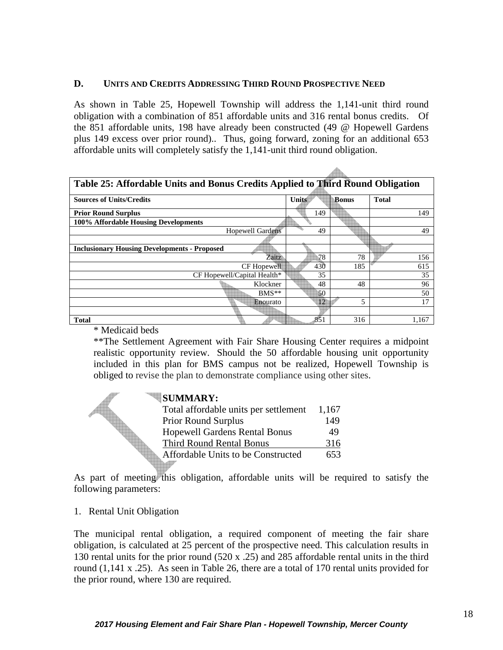### **D. UNITS AND CREDITS ADDRESSING THIRD ROUND PROSPECTIVE NEED**

As shown in Table 25, Hopewell Township will address the 1,141-unit third round obligation with a combination of 851 affordable units and 316 rental bonus credits. Of the 851 affordable units, 198 have already been constructed (49 @ Hopewell Gardens plus 149 excess over prior round).. Thus, going forward, zoning for an additional 653 affordable units will completely satisfy the 1,141-unit third round obligation.

 $\triangle$ 

| Table 25: Affordable Units and Bonus Credits Applied to Third Round Obligation |       |       |              |  |
|--------------------------------------------------------------------------------|-------|-------|--------------|--|
| <b>Sources of Units/Credits</b>                                                | Units | Bonus | <b>Total</b> |  |
| <b>Prior Round Surplus</b>                                                     | 149   |       | 149          |  |
| 100% Affordable Housing Developments                                           |       |       |              |  |
| <b>Hopewell Gardens</b>                                                        | 49    |       | 49           |  |
|                                                                                |       |       |              |  |
| <b>Inclusionary Housing Developments - Proposed</b>                            |       |       |              |  |
| Zaitz                                                                          | 78    | 78    | 156          |  |
| CF Hopewell                                                                    | 430   | 185   | 615          |  |
| CF Hopewell/Capital Health*                                                    | 35    |       | 35           |  |
| Klockner                                                                       | 48    | 48    | 96           |  |
| $BMS**$                                                                        | 50    |       | 50           |  |
| Enourato                                                                       | 12    | 5     | 17           |  |
|                                                                                |       |       |              |  |
| <b>Total</b>                                                                   | 851   | 316   | 1,167        |  |

\* Medicaid beds

\*\*The Settlement Agreement with Fair Share Housing Center requires a midpoint realistic opportunity review. Should the 50 affordable housing unit opportunity included in this plan for BMS campus not be realized, Hopewell Township is obliged to revise the plan to demonstrate compliance using other sites.

| <b>SUMMARY:</b>                       |       |
|---------------------------------------|-------|
| Total affordable units per settlement | 1,167 |
| <b>Prior Round Surplus</b>            | 149   |
| <b>Hopewell Gardens Rental Bonus</b>  | 49    |
| <b>Third Round Rental Bonus</b>       | 316   |
| Affordable Units to be Constructed    | 653   |
|                                       |       |

As part of meeting this obligation, affordable units will be required to satisfy the following parameters:

1. Rental Unit Obligation

The municipal rental obligation, a required component of meeting the fair share obligation, is calculated at 25 percent of the prospective need. This calculation results in 130 rental units for the prior round (520 x .25) and 285 affordable rental units in the third round (1,141 x .25). As seen in Table 26, there are a total of 170 rental units provided for the prior round, where 130 are required.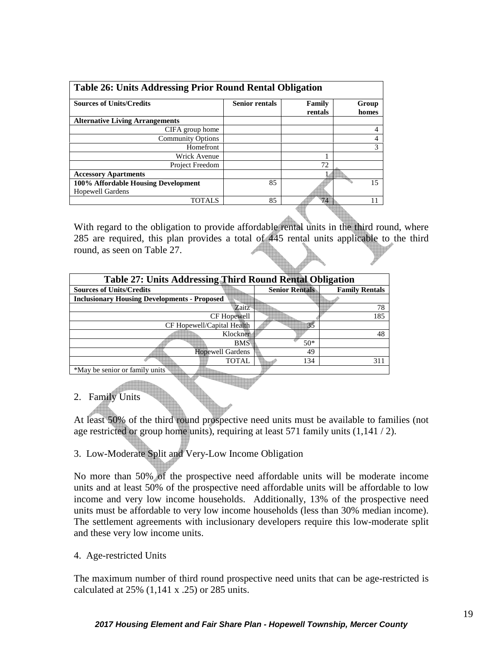| <b>Table 26: Units Addressing Prior Round Rental Obligation</b> |  |  |  |  |
|-----------------------------------------------------------------|--|--|--|--|
| Family<br>Group<br>rentals<br>homes                             |  |  |  |  |
|                                                                 |  |  |  |  |
| 4                                                               |  |  |  |  |
| 4                                                               |  |  |  |  |
| 3                                                               |  |  |  |  |
|                                                                 |  |  |  |  |
|                                                                 |  |  |  |  |
|                                                                 |  |  |  |  |
| 15                                                              |  |  |  |  |
|                                                                 |  |  |  |  |
| 11                                                              |  |  |  |  |
| 72<br>74                                                        |  |  |  |  |

With regard to the obligation to provide affordable rental units in the third round, where 285 are required, this plan provides a total of 445 rental units applicable to the third round, as seen on Table 27.

| <b>Table 27: Units Addressing Third Round Rental Obligation</b> |                       |                       |  |
|-----------------------------------------------------------------|-----------------------|-----------------------|--|
| <b>Sources of Units/Credits</b>                                 | <b>Senior Rentals</b> | <b>Family Rentals</b> |  |
| <b>Inclusionary Housing Developments - Proposed</b>             |                       |                       |  |
| Zaitz                                                           |                       | 78                    |  |
| CF Hopewell                                                     |                       | 185                   |  |
| CF Hopewell/Capital Health                                      | 35                    |                       |  |
| Klockner                                                        |                       | 48                    |  |
| <b>BMS</b>                                                      | $50*$                 |                       |  |
| <b>Hopewell Gardens</b>                                         | 49                    |                       |  |
| TOTAL                                                           | 134                   | 311                   |  |
| *May be senior or family units                                  |                       |                       |  |

## 2. Family Units

At least 50% of the third round prospective need units must be available to families (not age restricted or group home units), requiring at least 571 family units (1,141 / 2).

## 3. Low-Moderate Split and Very-Low Income Obligation

No more than 50% of the prospective need affordable units will be moderate income units and at least 50% of the prospective need affordable units will be affordable to low income and very low income households. Additionally, 13% of the prospective need units must be affordable to very low income households (less than 30% median income). The settlement agreements with inclusionary developers require this low-moderate split and these very low income units.

#### 4. Age-restricted Units

The maximum number of third round prospective need units that can be age-restricted is calculated at 25% (1,141 x .25) or 285 units.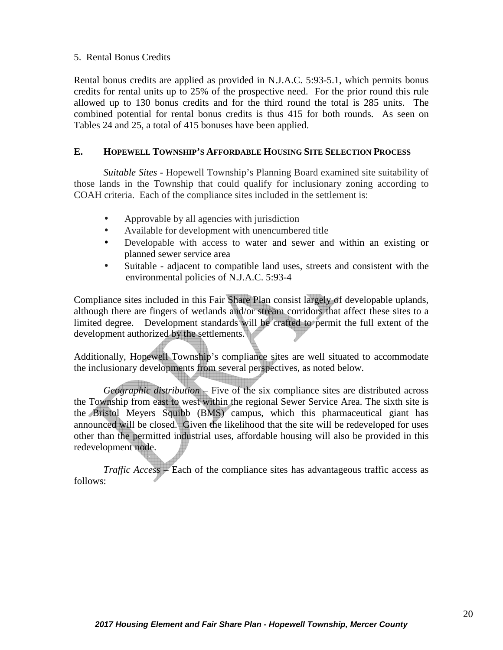## 5. Rental Bonus Credits

Rental bonus credits are applied as provided in N.J.A.C. 5:93-5.1, which permits bonus credits for rental units up to 25% of the prospective need. For the prior round this rule allowed up to 130 bonus credits and for the third round the total is 285 units. The combined potential for rental bonus credits is thus 415 for both rounds. As seen on Tables 24 and 25, a total of 415 bonuses have been applied.

## **E. HOPEWELL TOWNSHIP'S AFFORDABLE HOUSING SITE SELECTION PROCESS**

 *Suitable Sites* - Hopewell Township's Planning Board examined site suitability of those lands in the Township that could qualify for inclusionary zoning according to COAH criteria. Each of the compliance sites included in the settlement is:

- Approvable by all agencies with jurisdiction
- Available for development with unencumbered title
- Developable with access to water and sewer and within an existing or planned sewer service area
- Suitable adjacent to compatible land uses, streets and consistent with the environmental policies of N.J.A.C. 5:93-4

Compliance sites included in this Fair Share Plan consist largely of developable uplands, although there are fingers of wetlands and/or stream corridors that affect these sites to a limited degree. Development standards will be crafted to permit the full extent of the development authorized by the settlements.

Additionally, Hopewell Township's compliance sites are well situated to accommodate the inclusionary developments from several perspectives, as noted below.

*Geographic distribution* – Five of the six compliance sites are distributed across the Township from east to west within the regional Sewer Service Area. The sixth site is the Bristol Meyers Squibb (BMS) campus, which this pharmaceutical giant has announced will be closed. Given the likelihood that the site will be redeveloped for uses other than the permitted industrial uses, affordable housing will also be provided in this redevelopment node.

*Traffic Access* – Each of the compliance sites has advantageous traffic access as follows: